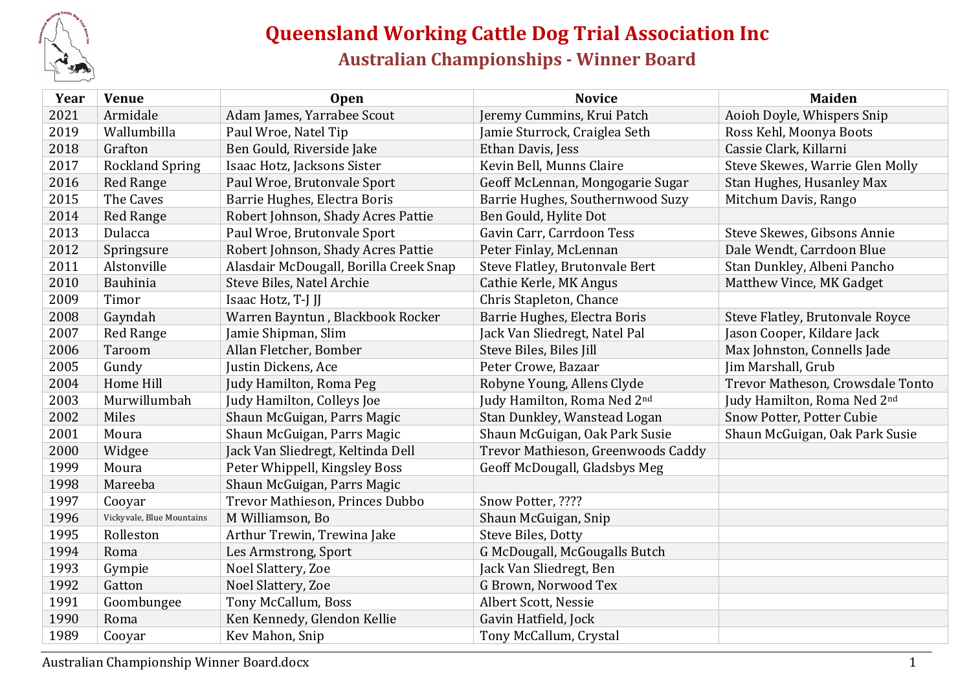

## **Queensland Working Cattle Dog Trial Association Inc Australian Championships - Winner Board**

| Year | <b>Venue</b>              | <b>Open</b>                            | <b>Novice</b>                      | <b>Maiden</b>                    |
|------|---------------------------|----------------------------------------|------------------------------------|----------------------------------|
| 2021 | Armidale                  | Adam James, Yarrabee Scout             | Jeremy Cummins, Krui Patch         | Aoioh Doyle, Whispers Snip       |
| 2019 | Wallumbilla               | Paul Wroe, Natel Tip                   | Jamie Sturrock, Craiglea Seth      | Ross Kehl, Moonya Boots          |
| 2018 | Grafton                   | Ben Gould, Riverside Jake              | Ethan Davis, Jess                  | Cassie Clark, Killarni           |
| 2017 | <b>Rockland Spring</b>    | Isaac Hotz, Jacksons Sister            | Kevin Bell, Munns Claire           | Steve Skewes, Warrie Glen Molly  |
| 2016 | <b>Red Range</b>          | Paul Wroe, Brutonvale Sport            | Geoff McLennan, Mongogarie Sugar   | Stan Hughes, Husanley Max        |
| 2015 | The Caves                 | Barrie Hughes, Electra Boris           | Barrie Hughes, Southernwood Suzy   | Mitchum Davis, Rango             |
| 2014 | <b>Red Range</b>          | Robert Johnson, Shady Acres Pattie     | Ben Gould, Hylite Dot              |                                  |
| 2013 | Dulacca                   | Paul Wroe, Brutonvale Sport            | Gavin Carr, Carrdoon Tess          | Steve Skewes, Gibsons Annie      |
| 2012 | Springsure                | Robert Johnson, Shady Acres Pattie     | Peter Finlay, McLennan             | Dale Wendt, Carrdoon Blue        |
| 2011 | Alstonville               | Alasdair McDougall, Borilla Creek Snap | Steve Flatley, Brutonvale Bert     | Stan Dunkley, Albeni Pancho      |
| 2010 | Bauhinia                  | Steve Biles, Natel Archie              | Cathie Kerle, MK Angus             | Matthew Vince, MK Gadget         |
| 2009 | Timor                     | Isaac Hotz, T-J JJ                     | Chris Stapleton, Chance            |                                  |
| 2008 | Gayndah                   | Warren Bayntun, Blackbook Rocker       | Barrie Hughes, Electra Boris       | Steve Flatley, Brutonvale Royce  |
| 2007 | <b>Red Range</b>          | Jamie Shipman, Slim                    | Jack Van Sliedregt, Natel Pal      | Jason Cooper, Kildare Jack       |
| 2006 | Taroom                    | Allan Fletcher, Bomber                 | Steve Biles, Biles Jill            | Max Johnston, Connells Jade      |
| 2005 | Gundy                     | Justin Dickens, Ace                    | Peter Crowe, Bazaar                | Jim Marshall, Grub               |
| 2004 | Home Hill                 | Judy Hamilton, Roma Peg                | Robyne Young, Allens Clyde         | Trevor Matheson, Crowsdale Tonto |
| 2003 | Murwillumbah              | Judy Hamilton, Colleys Joe             | Judy Hamilton, Roma Ned 2nd        | Judy Hamilton, Roma Ned 2nd      |
| 2002 | Miles                     | Shaun McGuigan, Parrs Magic            | Stan Dunkley, Wanstead Logan       | Snow Potter, Potter Cubie        |
| 2001 | Moura                     | Shaun McGuigan, Parrs Magic            | Shaun McGuigan, Oak Park Susie     | Shaun McGuigan, Oak Park Susie   |
| 2000 | Widgee                    | Jack Van Sliedregt, Keltinda Dell      | Trevor Mathieson, Greenwoods Caddy |                                  |
| 1999 | Moura                     | Peter Whippell, Kingsley Boss          | Geoff McDougall, Gladsbys Meg      |                                  |
| 1998 | Mareeba                   | Shaun McGuigan, Parrs Magic            |                                    |                                  |
| 1997 | Cooyar                    | Trevor Mathieson, Princes Dubbo        | Snow Potter, ????                  |                                  |
| 1996 | Vickyvale, Blue Mountains | M Williamson, Bo                       | Shaun McGuigan, Snip               |                                  |
| 1995 | Rolleston                 | Arthur Trewin, Trewina Jake            | Steve Biles, Dotty                 |                                  |
| 1994 | Roma                      | Les Armstrong, Sport                   | G McDougall, McGougalls Butch      |                                  |
| 1993 | Gympie                    | Noel Slattery, Zoe                     | Jack Van Sliedregt, Ben            |                                  |
| 1992 | Gatton                    | Noel Slattery, Zoe                     | G Brown, Norwood Tex               |                                  |
| 1991 | Goombungee                | Tony McCallum, Boss                    | Albert Scott, Nessie               |                                  |
| 1990 | Roma                      | Ken Kennedy, Glendon Kellie            | Gavin Hatfield, Jock               |                                  |
| 1989 | Cooyar                    | Kev Mahon, Snip                        | Tony McCallum, Crystal             |                                  |